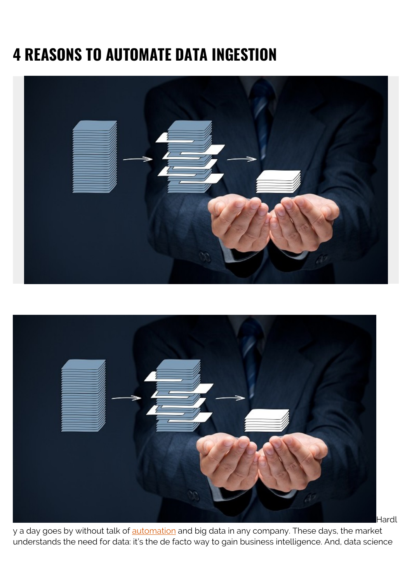# **4 REASONS TO AUTOMATE DATA INGESTION**





Hardl

y a day goes by without talk of automation and big data in any company. These days, the market understands the need for data: it's the de facto way to gain business intelligence. And, data science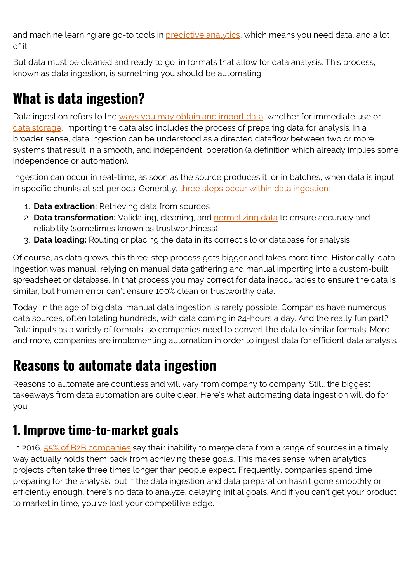and machine learning are go-to tools in [predictive analytics](https://blogs.bmc.com/blogs/machine-learning-vs-predictive-analytics/), which means you need data, and a lot of it.

But data must be cleaned and ready to go, in formats that allow for data analysis. This process, known as data ingestion, is something you should be automating.

# **What is data ingestion?**

Data ingestion refers to the [ways you may obtain and import data,](https://whatis.techtarget.com/definition/data-ingestion) whether for immediate use or [data storage.](https://blogs.bmc.com/blogs/data-lake-vs-data-warehouse-vs-database-whats-the-difference/) Importing the data also includes the process of preparing data for analysis. In a broader sense, data ingestion can be understood as a directed dataflow between two or more systems that result in a smooth, and independent, operation (a definition which already implies some independence or automation).

Ingestion can occur in real-time, as soon as the source produces it, or in batches, when data is input in specific chunks at set periods. Generally, [three steps occur within data ingestion:](https://www.cmswire.com/information-management/data-ingestion-best-practices/)

- 1. **Data extraction:** Retrieving data from sources
- 2. **Data transformation:** Validating, cleaning, and [normalizing data](https://blogs.bmc.com/blogs/data-normalization/) to ensure accuracy and reliability (sometimes known as trustworthiness)
- 3. **Data loading:** Routing or placing the data in its correct silo or database for analysis

Of course, as data grows, this three-step process gets bigger and takes more time. Historically, data ingestion was manual, relying on manual data gathering and manual importing into a custom-built spreadsheet or database. In that process you may correct for data inaccuracies to ensure the data is similar, but human error can't ensure 100% clean or trustworthy data.

Today, in the age of big data, manual data ingestion is rarely possible. Companies have numerous data sources, often totaling hundreds, with data coming in 24-hours a day. And the really fun part? Data inputs as a variety of formats, so companies need to convert the data to similar formats. More and more, companies are implementing automation in order to ingest data for efficient data analysis.

# **Reasons to automate data ingestion**

Reasons to automate are countless and will vary from company to company. Still, the biggest takeaways from data automation are quite clear. Here's what automating data ingestion will do for you:

#### **1. Improve time-to-market goals**

In 2016, [55% of B2B companies](https://insidebigdata.com/2018/03/29/automate-data-pipeline/) say their inability to merge data from a range of sources in a timely way actually holds them back from achieving these goals. This makes sense, when analytics projects often take three times longer than people expect. Frequently, companies spend time preparing for the analysis, but if the data ingestion and data preparation hasn't gone smoothly or efficiently enough, there's no data to analyze, delaying initial goals. And if you can't get your product to market in time, you've lost your competitive edge.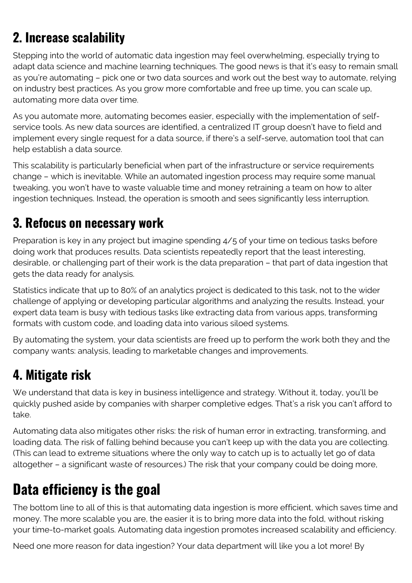## **2. Increase scalability**

Stepping into the world of automatic data ingestion may feel overwhelming, especially trying to adapt data science and machine learning techniques. The good news is that it's easy to remain small as you're automating – pick one or two data sources and work out the best way to automate, relying on industry best practices. As you grow more comfortable and free up time, you can scale up, automating more data over time.

As you automate more, automating becomes easier, especially with the implementation of selfservice tools. As new data sources are identified, a centralized IT group doesn't have to field and implement every single request for a data source, if there's a self-serve, automation tool that can help establish a data source.

This scalability is particularly beneficial when part of the infrastructure or service requirements change – which is inevitable. While an automated ingestion process may require some manual tweaking, you won't have to waste valuable time and money retraining a team on how to alter ingestion techniques. Instead, the operation is smooth and sees significantly less interruption.

#### **3. Refocus on necessary work**

Preparation is key in any project but imagine spending 4/5 of your time on tedious tasks before doing work that produces results. Data scientists repeatedly report that the least interesting, desirable, or challenging part of their work is the data preparation – that part of data ingestion that gets the data ready for analysis.

Statistics indicate that up to 80% of an analytics project is dedicated to this task, not to the wider challenge of applying or developing particular algorithms and analyzing the results. Instead, your expert data team is busy with tedious tasks like extracting data from various apps, transforming formats with custom code, and loading data into various siloed systems.

By automating the system, your data scientists are freed up to perform the work both they and the company wants: analysis, leading to marketable changes and improvements.

### **4. Mitigate risk**

We understand that data is key in business intelligence and strategy. Without it, today, you'll be quickly pushed aside by companies with sharper completive edges. That's a risk you can't afford to take.

Automating data also mitigates other risks: the risk of human error in extracting, transforming, and loading data. The risk of falling behind because you can't keep up with the data you are collecting. (This can lead to extreme situations where the only way to catch up is to actually let go of data altogether – a significant waste of resources.) The risk that your company could be doing more,

# **Data efficiency is the goal**

The bottom line to all of this is that automating data ingestion is more efficient, which saves time and money. The more scalable you are, the easier it is to bring more data into the fold, without risking your time-to-market goals. Automating data ingestion promotes increased scalability and efficiency.

Need one more reason for data ingestion? Your data department will like you a lot more! By